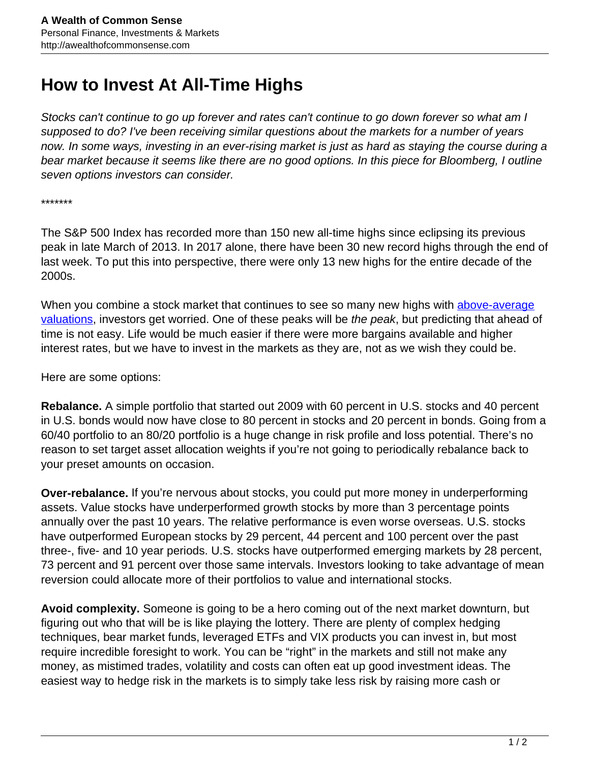## **How to Invest At All-Time Highs**

Stocks can't continue to go up forever and rates can't continue to go down forever so what am I supposed to do? I've been receiving similar questions about the markets for a number of years now. In some ways, investing in an ever-rising market is just as hard as staying the course during a bear market because it seems like there are no good options. In this piece for Bloomberg, I outline seven options investors can consider.

\*\*\*\*\*\*\*

The S&P 500 Index has recorded more than 150 new all-time highs since eclipsing its previous peak in late March of 2013. In 2017 alone, there have been 30 new record highs through the end of last week. To put this into perspective, there were only 13 new highs for the entire decade of the 2000s.

When you combine a stock market that continues to see so many new highs with [above-average](https://www.bloomberg.com/view/articles/2017-03-03/what-to-make-of-these-twice-in-history-s-p-500-valuations) [valuations,](https://www.bloomberg.com/view/articles/2017-03-03/what-to-make-of-these-twice-in-history-s-p-500-valuations) investors get worried. One of these peaks will be the peak, but predicting that ahead of time is not easy. Life would be much easier if there were more bargains available and higher interest rates, but we have to invest in the markets as they are, not as we wish they could be.

Here are some options:

**Rebalance.** A simple portfolio that started out 2009 with 60 percent in U.S. stocks and 40 percent in U.S. bonds would now have close to 80 percent in stocks and 20 percent in bonds. Going from a 60/40 portfolio to an 80/20 portfolio is a huge change in risk profile and loss potential. There's no reason to set target asset allocation weights if you're not going to periodically rebalance back to your preset amounts on occasion.

**Over-rebalance.** If you're nervous about stocks, you could put more money in underperforming assets. Value stocks have underperformed growth stocks by more than 3 percentage points annually over the past 10 years. The relative performance is even worse overseas. U.S. stocks have outperformed European stocks by 29 percent, 44 percent and 100 percent over the past three-, five- and 10 year periods. U.S. stocks have outperformed emerging markets by 28 percent, 73 percent and 91 percent over those same intervals. Investors looking to take advantage of mean reversion could allocate more of their portfolios to value and international stocks.

**Avoid complexity.** Someone is going to be a hero coming out of the next market downturn, but figuring out who that will be is like playing the lottery. There are plenty of complex hedging techniques, bear market funds, leveraged ETFs and VIX products you can invest in, but most require incredible foresight to work. You can be "right" in the markets and still not make any money, as mistimed trades, volatility and costs can often eat up good investment ideas. The easiest way to hedge risk in the markets is to simply take less risk by raising more cash or